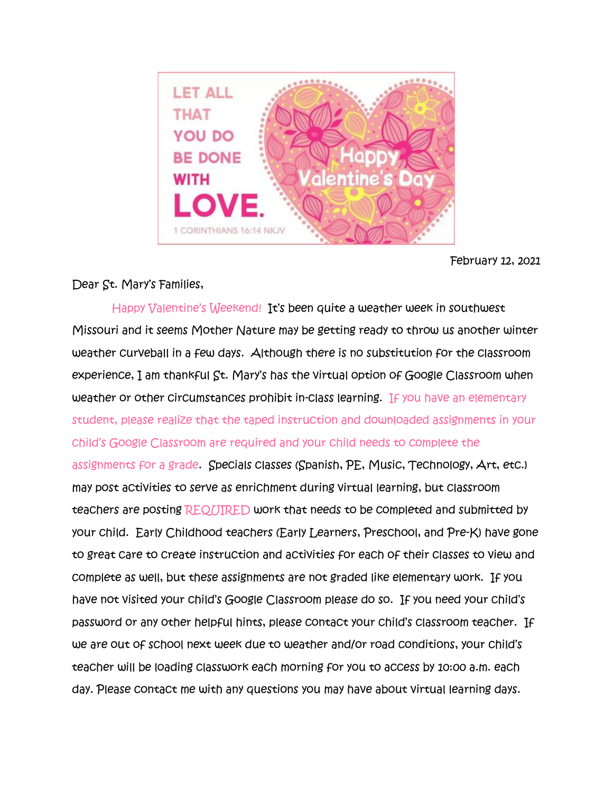

February 12, 2021

## Dear St. Mary's Families,

Happy Valentine's Weekend! It's been quite a weather week in southwest Missouri and it seems Mother Nature may be getting ready to throw us another winter weather curveball in a few days. Although there is no substitution for the classroom experience, I am thankful St. Mary's has the virtual option of Google Classroom when weather or other circumstances prohibit in-class learning. If you have an elementary student, please realize that the taped instruction and downloaded assignments in your child's Google Classroom are required and your child needs to complete the assignments for a grade. Specials classes (Spanish, PE, Music, Technology, Art, etc.) may post activities to serve as enrichment during virtual learning, but classroom teachers are posting REQUIRED work that needs to be completed and submitted by your child. Early Childhood teachers (Early Learners, Preschool, and Pre-K) have gone to great care to create instruction and activities for each of their classes to view and complete as well, but these assignments are not graded like elementary work. If you have not visited your child's Google Classroom please do so. If you need your child's password or any other helpful hints, please contact your child's classroom teacher. If we are out of school next week due to weather and/or road conditions, your child's teacher will be loading classwork each morning for you to access by 10:00 a.m. each day. Please contact me with any questions you may have about virtual learning days.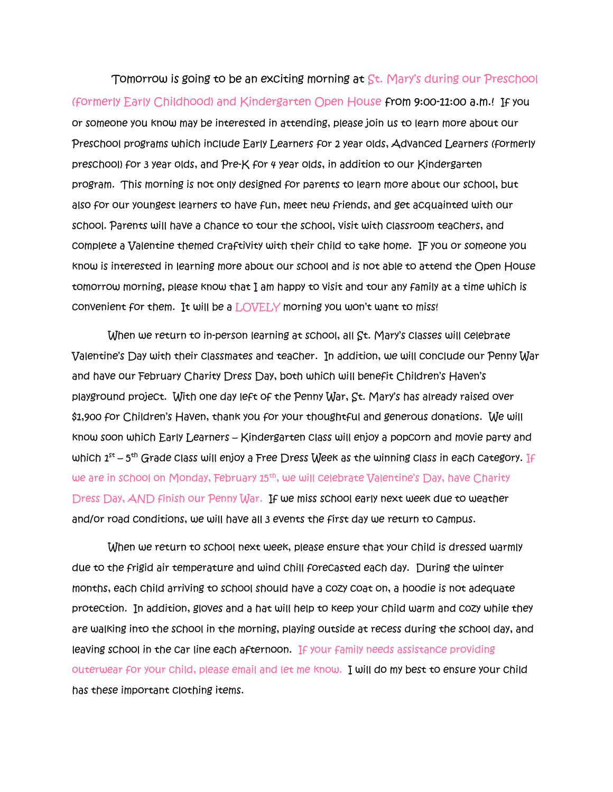Tomorrow is going to be an exciting morning at St. Mary's during our Preschool (formerly Early Childhood) and Kindergarten Open House from 9:00-11:00 a.m.! If you or someone you know may be interested in attending, please join us to learn more about our Preschool programs which include Early Learners for 2 year olds, Advanced Learners (formerly preschool) for 3 year olds, and Pre-K for 4 year olds, in addition to our Kindergarten program. This morning is not only designed for parents to learn more about our school, but also for our youngest learners to have fun, meet new friends, and get acquainted with our school. Parents will have a chance to tour the school, visit with classroom teachers, and complete a Valentine themed craftivity with their child to take home. IF you or someone you know is interested in learning more about our school and is not able to attend the Open House tomorrow morning, please know that I am happy to visit and tour any family at a time which is convenient for them. It will be a LOVELY morning you won't want to miss!

 When we return to in-person learning at school, all St. Mary's classes will celebrate Valentine's Day with their classmates and teacher. In addition, we will conclude our Penny War and have our February Charity Dress Day, both which will benefit Children's Haven's playground project. With one day left of the Penny War, St. Mary's has already raised over \$1,900 for Children's Haven, thank you for your thoughtful and generous donations. We will know soon which Early Learners – Kindergarten class will enjoy a popcorn and movie party and which  $1^\text{st}$  – 5<sup>th</sup> Grade class will enjoy a Free Dress Week as the winning class in each category. If we are in school on Monday, February 15<sup>th</sup>, we will celebrate Valentine's Day, have Charity Dress Day, AND finish our Penny War. If we miss school early next week due to weather and/or road conditions, we will have all 3 events the first day we return to campus.

 When we return to school next week, please ensure that your child is dressed warmly due to the frigid air temperature and wind chill forecasted each day. During the winter months, each child arriving to school should have a cozy coat on, a hoodie is not adequate protection. In addition, gloves and a hat will help to keep your child warm and cozy while they are walking into the school in the morning, playing outside at recess during the school day, and leaving school in the car line each afternoon. If your family needs assistance providing outerwear for your child, please email and let me know. I will do my best to ensure your child has these important clothing items.